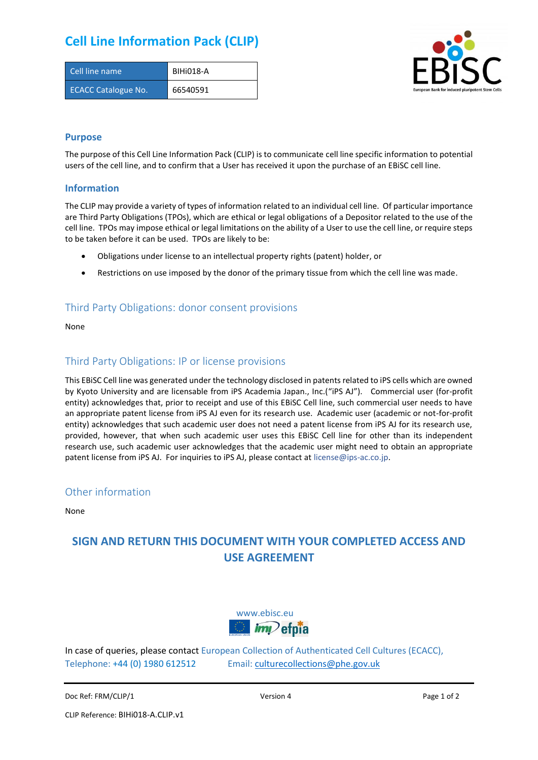## **Cell Line Information Pack (CLIP)**

| Cell line name             | BIHI018-A |
|----------------------------|-----------|
| <b>ECACC Catalogue No.</b> | 66540591  |



#### **Purpose**

The purpose of this Cell Line Information Pack (CLIP) is to communicate cell line specific information to potential users of the cell line, and to confirm that a User has received it upon the purchase of an EBiSC cell line.

#### **Information**

The CLIP may provide a variety of types of information related to an individual cell line. Of particular importance are Third Party Obligations (TPOs), which are ethical or legal obligations of a Depositor related to the use of the cell line. TPOs may impose ethical or legal limitations on the ability of a User to use the cell line, or require steps to be taken before it can be used. TPOs are likely to be:

- Obligations under license to an intellectual property rights (patent) holder, or
- Restrictions on use imposed by the donor of the primary tissue from which the cell line was made.

#### Third Party Obligations: donor consent provisions

None

#### Third Party Obligations: IP or license provisions

This EBiSC Cell line was generated under the technology disclosed in patents related to iPS cells which are owned by Kyoto University and are licensable from iPS Academia Japan., Inc.("iPS AJ"). Commercial user (for-profit entity) acknowledges that, prior to receipt and use of this EBiSC Cell line, such commercial user needs to have an appropriate patent license from iPS AJ even for its research use. Academic user (academic or not-for-profit entity) acknowledges that such academic user does not need a patent license from iPS AJ for its research use, provided, however, that when such academic user uses this EBiSC Cell line for other than its independent research use, such academic user acknowledges that the academic user might need to obtain an appropriate patent license from iPS AJ. For inquiries to iPS AJ, please contact at [license@ips-ac.co.jp.](mailto:license@ips-ac.co.jp)

#### Other information

None

### **SIGN AND RETURN THIS DOCUMENT WITH YOUR COMPLETED ACCESS AND USE AGREEMENT**



In case of queries, please contact European Collection of Authenticated Cell Cultures (ECACC), Telephone: +44 (0) 1980 612512 Email: [culturecollections@phe.gov.uk](mailto:culturecollections@phe.gov.uk)

```
Doc Ref: FRM/CLIP/1 Doce Ref: FRM/CLIP/1 Page 1 of 2
```